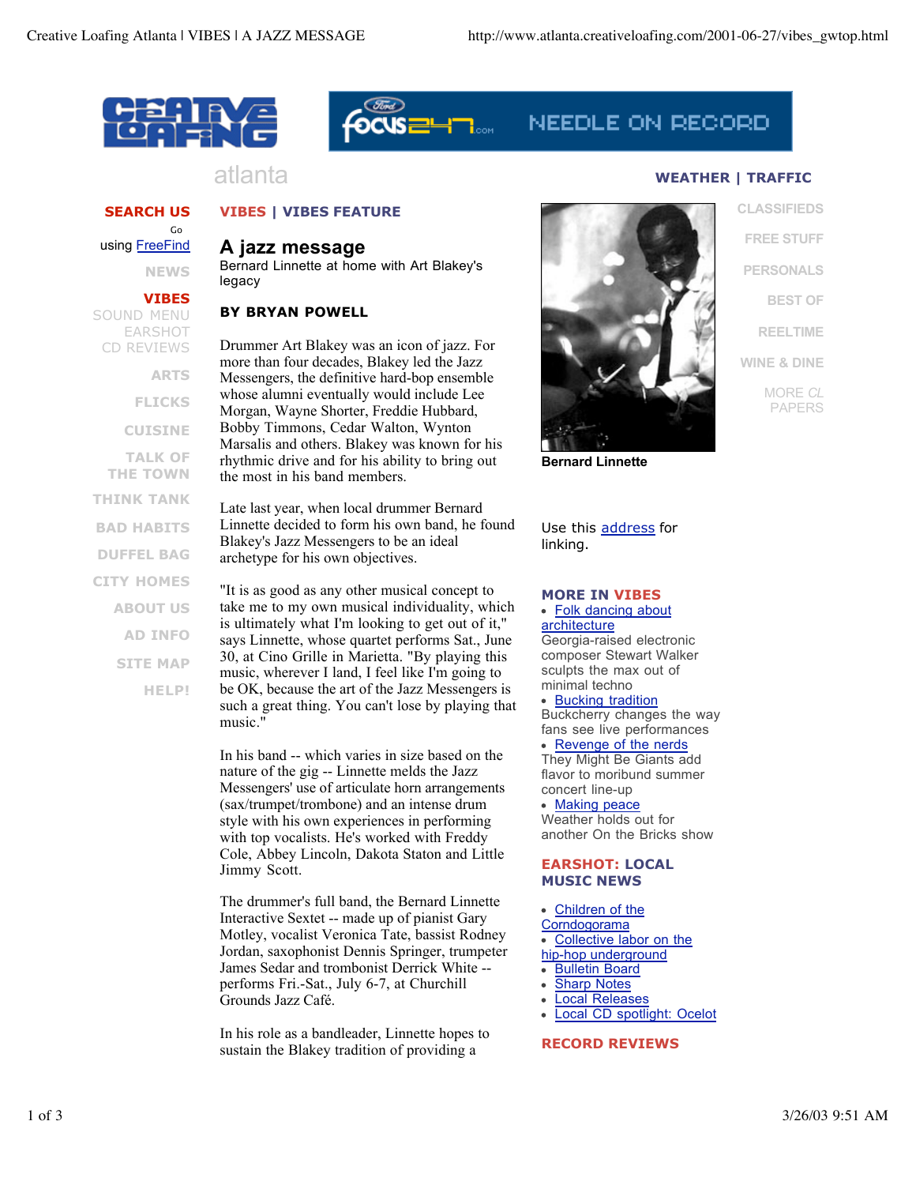



# NEEDLE ON RECORD

## **SEARCH US**

Go using FreeFind

**NEWS**

#### **VIBES**

SOUND MENU EARSHOT CD REVIEWS

**ARTS**

**FLICKS**

**CUISINE**

**TALK OF THE TOWN THINK TANK BAD HABITS DUFFEL BAG CITY HOMES ABOUT US AD INFO SITE MAP HELP!** atlanta **WEATHER | TRAFFIC** 

## **VIBES | VIBES FEATURE**

## **A jazz message**

Bernard Linnette at home with Art Blakey's legacy

## **BY BRYAN POWELL**

Drummer Art Blakey was an icon of jazz. For more than four decades, Blakey led the Jazz Messengers, the definitive hard-bop ensemble whose alumni eventually would include Lee Morgan, Wayne Shorter, Freddie Hubbard, Bobby Timmons, Cedar Walton, Wynton Marsalis and others. Blakey was known for his rhythmic drive and for his ability to bring out the most in his band members.

Late last year, when local drummer Bernard Linnette decided to form his own band, he found Blakey's Jazz Messengers to be an ideal archetype for his own objectives.

"It is as good as any other musical concept to take me to my own musical individuality, which is ultimately what I'm looking to get out of it," says Linnette, whose quartet performs Sat., June 30, at Cino Grille in Marietta. "By playing this music, wherever I land, I feel like I'm going to be OK, because the art of the Jazz Messengers is such a great thing. You can't lose by playing that music."

In his band -- which varies in size based on the nature of the gig -- Linnette melds the Jazz Messengers' use of articulate horn arrangements (sax/trumpet/trombone) and an intense drum style with his own experiences in performing with top vocalists. He's worked with Freddy Cole, Abbey Lincoln, Dakota Staton and Little Jimmy Scott.

The drummer's full band, the Bernard Linnette Interactive Sextet -- made up of pianist Gary Motley, vocalist Veronica Tate, bassist Rodney Jordan, saxophonist Dennis Springer, trumpeter James Sedar and trombonist Derrick White - performs Fri.-Sat., July 6-7, at Churchill Grounds Jazz Café.

In his role as a bandleader, Linnette hopes to sustain the Blakey tradition of providing a



**CLASSIFIEDS FREE STUFF PERSONALS BEST OF REELTIME WINE & DINE** MORE *CL* PAPERS

**Bernard Linnette**

Use this address for linking.

#### **MORE IN VIBES**

• Folk dancing about **architecture** Georgia-raised electronic composer Stewart Walker sculpts the max out of minimal techno

• Bucking tradition Buckcherry changes the way fans see live performances • Revenge of the nerds They Might Be Giants add flavor to moribund summer concert line-up

• Making peace Weather holds out for another On the Bricks show

#### **EARSHOT: LOCAL MUSIC NEWS**

Children of the

**Corndogorama** 

- Collective labor on the
- hip-hop underground
- Bulletin Board  $\bullet$
- **Sharp Notes**
- Local Releases
- Local CD spotlight: Ocelot

## **RECORD REVIEWS**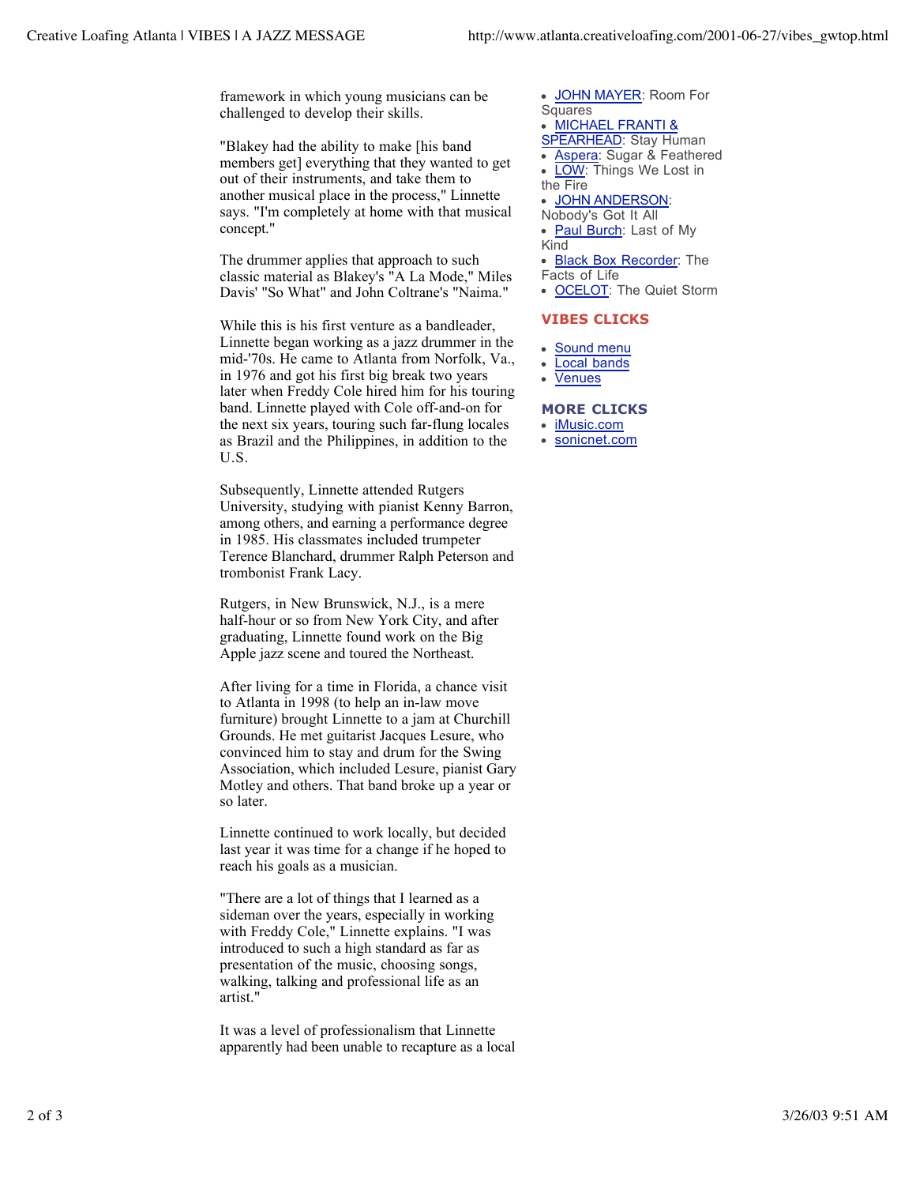framework in which young musicians can be challenged to develop their skills.

"Blakey had the ability to make [his band members get] everything that they wanted to get out of their instruments, and take them to another musical place in the process," Linnette says. "I'm completely at home with that musical concept."

The drummer applies that approach to such classic material as Blakey's "A La Mode," Miles Davis' "So What" and John Coltrane's "Naima."

While this is his first venture as a bandleader, Linnette began working as a jazz drummer in the mid-'70s. He came to Atlanta from Norfolk, Va., in 1976 and got his first big break two years later when Freddy Cole hired him for his touring band. Linnette played with Cole off-and-on for the next six years, touring such far-flung locales as Brazil and the Philippines, in addition to the U.S.

Subsequently, Linnette attended Rutgers University, studying with pianist Kenny Barron, among others, and earning a performance degree in 1985. His classmates included trumpeter Terence Blanchard, drummer Ralph Peterson and trombonist Frank Lacy.

Rutgers, in New Brunswick, N.J., is a mere half-hour or so from New York City, and after graduating, Linnette found work on the Big Apple jazz scene and toured the Northeast.

After living for a time in Florida, a chance visit to Atlanta in 1998 (to help an in-law move furniture) brought Linnette to a jam at Churchill Grounds. He met guitarist Jacques Lesure, who convinced him to stay and drum for the Swing Association, which included Lesure, pianist Gary Motley and others. That band broke up a year or so later.

Linnette continued to work locally, but decided last year it was time for a change if he hoped to reach his goals as a musician.

"There are a lot of things that I learned as a sideman over the years, especially in working with Freddy Cole," Linnette explains. "I was introduced to such a high standard as far as presentation of the music, choosing songs, walking, talking and professional life as an artist."

It was a level of professionalism that Linnette apparently had been unable to recapture as a local

- JOHN MAYER: Room For  $\bullet$ Squares
- MICHAEL FRANTI &
- SPEARHEAD: Stay Human
	- Aspera: Sugar & Feathered
	- LOW: Things We Lost in
- the Fire

 $\bullet$ 

- $\bullet$ JOHN ANDERSON:
- Nobody's Got It All
- Paul Burch: Last of My  $\bullet$ Kind
- Black Box Recorder: The
- Facts of Life
- OCELOT: The Quiet Storm

## **VIBES CLICKS**

- Sound menu
- Local bands
- Venues

#### **MORE CLICKS**

- iMusic.com
- sonicnet.com